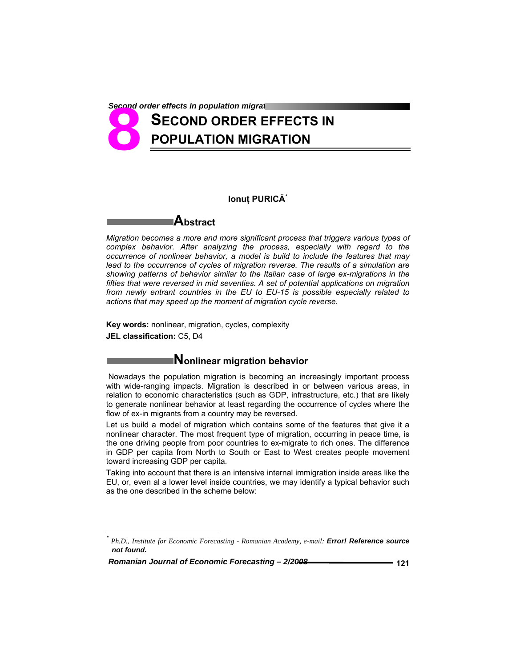**Second order effects in population migration** 

# **SECOND ORDER EFFECTS IN POPULATION MIGRATION 8**<br> **8**

### **Ionuţ PURICĂ\***

*Migration becomes a more and more significant process that triggers various types of complex behavior. After analyzing the process, especially with regard to the occurrence of nonlinear behavior, a model is build to include the features that may*  lead to the occurrence of cycles of migration reverse. The results of a simulation are *showing patterns of behavior similar to the Italian case of large ex-migrations in the fifties that were reversed in mid seventies. A set of potential applications on migration from newly entrant countries in the EU to EU-15 is possible especially related to actions that may speed up the moment of migration cycle reverse.* 

**Key words:** nonlinear, migration, cycles, complexity **JEL classification:** C5, D4

**Abstract** 

## **Nonlinear migration behavior**

Nowadays the population migration is becoming an increasingly important process with wide-ranging impacts. Migration is described in or between various areas, in relation to economic characteristics (such as GDP, infrastructure, etc.) that are likely to generate nonlinear behavior at least regarding the occurrence of cycles where the flow of ex-in migrants from a country may be reversed.

Let us build a model of migration which contains some of the features that give it a nonlinear character. The most frequent type of migration, occurring in peace time, is the one driving people from poor countries to ex-migrate to rich ones. The difference in GDP per capita from North to South or East to West creates people movement toward increasing GDP per capita.

Taking into account that there is an intensive internal immigration inside areas like the EU, or, even al a lower level inside countries, we may identify a typical behavior such as the one described in the scheme below:

 *Romanian Journal of Economic Forecasting – 2/2008* **121**

-

*<sup>\*</sup> Ph.D., Institute for Economic Forecasting - Romanian Academy, e-mail: Error! Reference source not found.*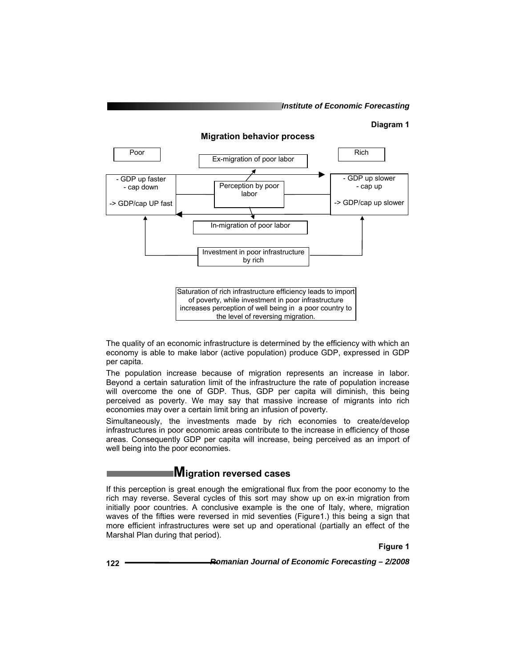#### **Diagram 1**



The quality of an economic infrastructure is determined by the efficiency with which an economy is able to make labor (active population) produce GDP, expressed in GDP per capita.

The population increase because of migration represents an increase in labor. Beyond a certain saturation limit of the infrastructure the rate of population increase will overcome the one of GDP. Thus, GDP per capita will diminish, this being perceived as poverty. We may say that massive increase of migrants into rich economies may over a certain limit bring an infusion of poverty.

Simultaneously, the investments made by rich economies to create/develop infrastructures in poor economic areas contribute to the increase in efficiency of those areas. Consequently GDP per capita will increase, being perceived as an import of well being into the poor economies.

## **Migration reversed cases**

If this perception is great enough the emigrational flux from the poor economy to the rich may reverse. Several cycles of this sort may show up on ex-in migration from initially poor countries. A conclusive example is the one of Italy, where, migration waves of the fifties were reversed in mid seventies (Figure1.) this being a sign that more efficient infrastructures were set up and operational (partially an effect of the Marshal Plan during that period).

**Figure 1**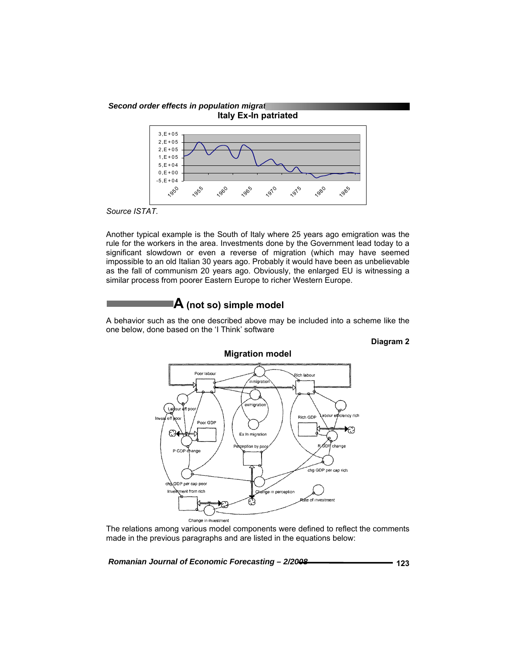

*Source ISTAT.* 

Another typical example is the South of Italy where 25 years ago emigration was the rule for the workers in the area. Investments done by the Government lead today to a significant slowdown or even a reverse of migration (which may have seemed impossible to an old Italian 30 years ago. Probably it would have been as unbelievable as the fall of communism 20 years ago. Obviously, the enlarged EU is witnessing a similar process from poorer Eastern Europe to richer Western Europe.

## **A (not so) simple model**

A behavior such as the one described above may be included into a scheme like the one below, done based on the 'I Think' software

### **Diagram 2**



The relations among various model components were defined to reflect the comments made in the previous paragraphs and are listed in the equations below: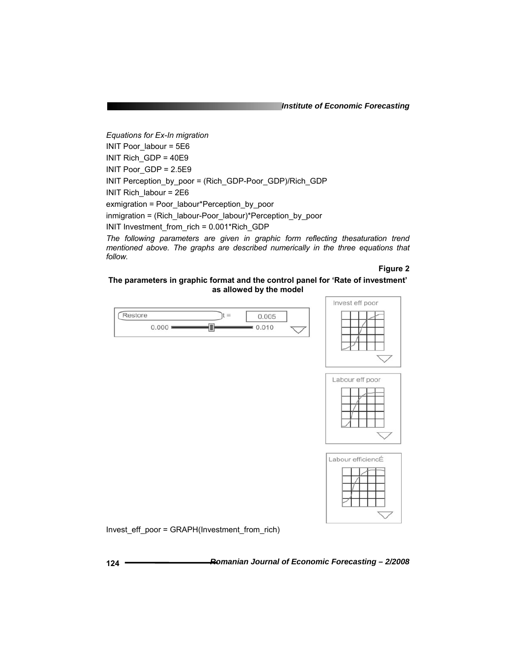*Institute of Economic Forecasting*

*Equations for Ex-In migration*  INIT Poor\_labour = 5E6 INIT Rich\_GDP = 40E9 INIT Poor\_GDP = 2.5E9 INIT Perception\_by\_poor = (Rich\_GDP-Poor\_GDP)/Rich\_GDP INIT Rich\_labour = 2E6 exmigration = Poor\_labour\*Perception\_by\_poor inmigration = (Rich\_labour-Poor\_labour)\*Perception\_by\_poor INIT Investment\_from\_rich = 0.001\*Rich\_GDP

*The following parameters are given in graphic form reflecting thesaturation trend mentioned above. The graphs are described numerically in the three equations that follow.* 

#### **Figure 2**

#### **The parameters in graphic format and the control panel for 'Rate of investment' as allowed by the model**





Invest\_eff\_poor = GRAPH(Investment\_from\_rich)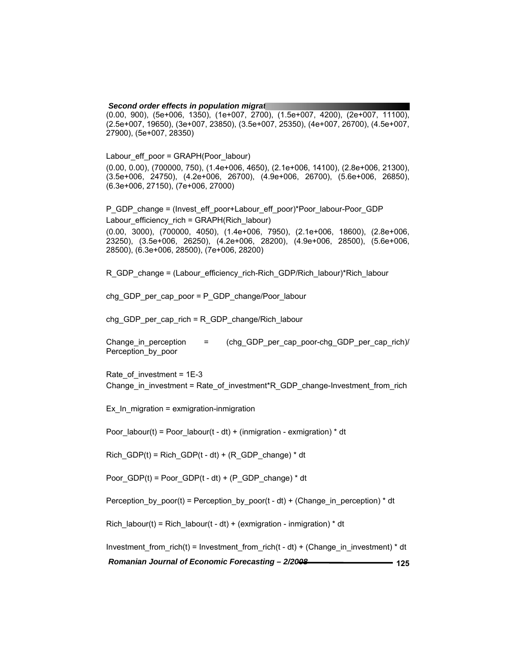**Second order effects in population migration** (0.00, 900), (5e+006, 1350), (1e+007, 2700), (1.5e+007, 4200), (2e+007, 11100), (2.5e+007, 19650), (3e+007, 23850), (3.5e+007, 25350), (4e+007, 26700), (4.5e+007, 27900), (5e+007, 28350)

Labour\_eff\_poor = GRAPH(Poor\_labour) (0.00, 0.00), (700000, 750), (1.4e+006, 4650), (2.1e+006, 14100), (2.8e+006, 21300), (3.5e+006, 24750), (4.2e+006, 26700), (4.9e+006, 26700), (5.6e+006, 26850), (6.3e+006, 27150), (7e+006, 27000)

P\_GDP\_change = (Invest\_eff\_poor+Labour\_eff\_poor)\*Poor\_labour-Poor\_GDP Labour\_efficiency\_rich = GRAPH(Rich\_labour)

(0.00, 3000), (700000, 4050), (1.4e+006, 7950), (2.1e+006, 18600), (2.8e+006, 23250), (3.5e+006, 26250), (4.2e+006, 28200), (4.9e+006, 28500), (5.6e+006, 28500), (6.3e+006, 28500), (7e+006, 28200)

R\_GDP\_change = (Labour\_efficiency\_rich-Rich\_GDP/Rich\_labour)\*Rich\_labour

chg\_GDP\_per\_cap\_poor = P\_GDP\_change/Poor\_labour

chg\_GDP\_per\_cap\_rich = R\_GDP\_change/Rich\_labour

Change\_in\_perception = (chg\_GDP\_per\_cap\_poor-chg\_GDP\_per\_cap\_rich)/ Perception\_by\_poor

Rate\_of\_investment = 1E-3 Change in investment = Rate of investment\*R\_GDP\_change-Investment\_from\_rich

Ex In migration = exmigration-inmigration

Poor labour(t) = Poor labour(t - dt) + (inmigration - exmigration)  $*$  dt

Rich GDP(t) = Rich GDP(t - dt) + (R\_GDP\_change)  $*$  dt

Poor GDP(t) = Poor GDP(t - dt) + (P\_GDP\_change) \* dt

Perception by poor(t) = Perception by poor(t - dt) + (Change in perception) \* dt

Rich\_labour(t) = Rich\_labour(t - dt) + (exmigration - inmigration)  $*$  dt

Investment from rich(t) = Investment from rich(t - dt) + (Change in investment) \* dt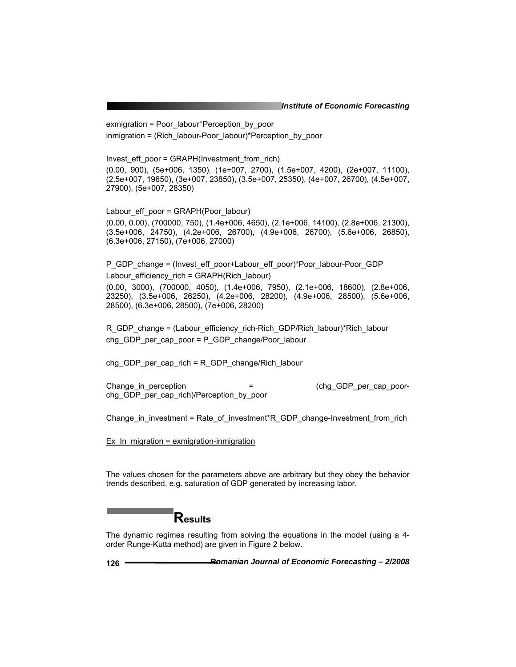exmigration = Poor\_labour\*Perception\_by\_poor inmigration = (Rich labour-Poor labour)\*Perception by poor

Invest eff poor = GRAPH(Investment from rich) (0.00, 900), (5e+006, 1350), (1e+007, 2700), (1.5e+007, 4200), (2e+007, 11100), (2.5e+007, 19650), (3e+007, 23850), (3.5e+007, 25350), (4e+007, 26700), (4.5e+007, 27900), (5e+007, 28350)

Labour\_eff\_poor = GRAPH(Poor\_labour) (0.00, 0.00), (700000, 750), (1.4e+006, 4650), (2.1e+006, 14100), (2.8e+006, 21300), (3.5e+006, 24750), (4.2e+006, 26700), (4.9e+006, 26700), (5.6e+006, 26850), (6.3e+006, 27150), (7e+006, 27000)

P\_GDP\_change = (Invest\_eff\_poor+Labour\_eff\_poor)\*Poor\_labour-Poor\_GDP Labour efficiency rich = GRAPH(Rich labour) (0.00, 3000), (700000, 4050), (1.4e+006, 7950), (2.1e+006, 18600), (2.8e+006, 23250), (3.5e+006, 26250), (4.2e+006, 28200), (4.9e+006, 28500), (5.6e+006, 28500), (6.3e+006, 28500), (7e+006, 28200)

R\_GDP\_change = (Labour\_efficiency\_rich-Rich\_GDP/Rich\_labour)\*Rich\_labour chg GDP per cap poor = P GDP change/Poor labour

chg\_GDP\_per\_cap\_rich = R\_GDP\_change/Rich\_labour

Change\_in\_perception = (chg\_GDP\_per\_cap\_poorchg GDP per cap rich)/Perception by poor

Change in investment = Rate of investment\*R\_GDP\_change-Investment\_from\_rich

Ex In migration = exmigration-inmigration

The values chosen for the parameters above are arbitrary but they obey the behavior trends described, e.g. saturation of GDP generated by increasing labor.

## **Results**

The dynamic regimes resulting from solving the equations in the model (using a 4 order Runge-Kutta method) are given in Figure 2 below.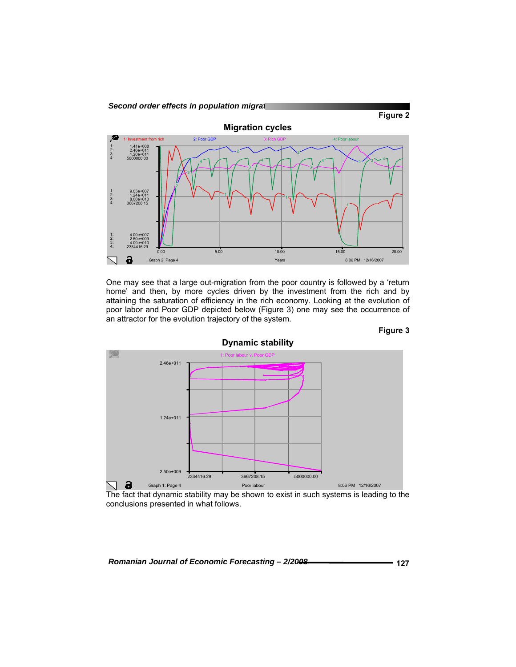

One may see that a large out-migration from the poor country is followed by a 'return home' and then, by more cycles driven by the investment from the rich and by attaining the saturation of efficiency in the rich economy. Looking at the evolution of poor labor and Poor GDP depicted below (Figure 3) one may see the occurrence of an attractor for the evolution trajectory of the system.



**Figure 3** 

The fact that dynamic stability may be shown to exist in such systems is leading to the conclusions presented in what follows.